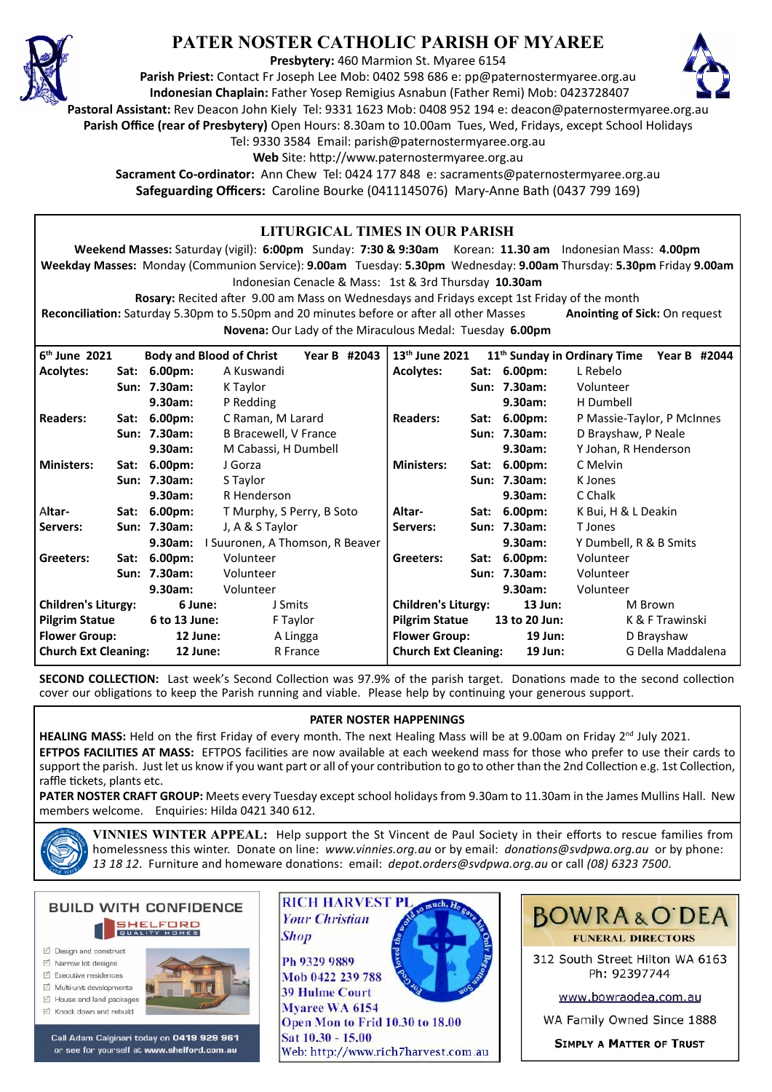

# **PATER NOSTER CATHOLIC PARISH OF MYAREE**

**Presbytery:** 460 Marmion St. Myaree 6154

**Parish Priest:** Contact Fr Joseph Lee Mob: 0402 598 686 e: pp@paternostermyaree.org.au **Indonesian Chaplain:** Father Yosep Remigius Asnabun (Father Remi) Mob: 0423728407



**Pastoral Assistant:** Rev Deacon John Kiely Tel: 9331 1623 Mob: 0408 952 194 e: deacon@paternostermyaree.org.au

**Parish Office (rear of Presbytery)** Open Hours: 8.30am to 10.00am Tues, Wed, Fridays, except School Holidays

Tel: 9330 3584 Email: parish@paternostermyaree.org.au

Web Site: http://www.paternostermyaree.org.au

**Sacrament Co-ordinator:** Ann Chew Tel: 0424 177 848 e: sacraments@paternostermyaree.org.au **Safeguarding Officers:** Caroline Bourke (0411145076) Mary-Anne Bath (0437 799 169)

| LITURGICAL TIMES IN OUR PARISH                                                                                                    |                                            |               |                                 |                                   |                             |           |                |                                          |                   |
|-----------------------------------------------------------------------------------------------------------------------------------|--------------------------------------------|---------------|---------------------------------|-----------------------------------|-----------------------------|-----------|----------------|------------------------------------------|-------------------|
| Weekend Masses: Saturday (vigil): 6:00pm Sunday: 7:30 & 9:30am Korean: 11.30 am Indonesian Mass: 4.00pm                           |                                            |               |                                 |                                   |                             |           |                |                                          |                   |
| Weekday Masses: Monday (Communion Service): 9.00am Tuesday: 5.30pm Wednesday: 9.00am Thursday: 5.30pm Friday 9.00am               |                                            |               |                                 |                                   |                             |           |                |                                          |                   |
| Indonesian Cenacle & Mass: 1st & 3rd Thursday 10.30am                                                                             |                                            |               |                                 |                                   |                             |           |                |                                          |                   |
| Rosary: Recited after 9.00 am Mass on Wednesdays and Fridays except 1st Friday of the month                                       |                                            |               |                                 |                                   |                             |           |                |                                          |                   |
| Reconciliation: Saturday 5.30pm to 5.50pm and 20 minutes before or after all other Masses<br><b>Anointing of Sick: On request</b> |                                            |               |                                 |                                   |                             |           |                |                                          |                   |
| <b>Novena:</b> Our Lady of the Miraculous Medal: Tuesday 6.00pm                                                                   |                                            |               |                                 |                                   |                             |           |                |                                          |                   |
| $6th$ June 2021                                                                                                                   |                                            |               | <b>Body and Blood of Christ</b> | Year B #2043                      | 13 <sup>th</sup> June 2021  |           |                | 11 <sup>th</sup> Sunday in Ordinary Time | Year B #2044      |
| <b>Acolytes:</b>                                                                                                                  |                                            | Sat: 6.00pm:  | A Kuswandi                      |                                   | <b>Acolytes:</b>            |           | Sat: 6.00pm:   | L Rebelo                                 |                   |
|                                                                                                                                   |                                            | Sun: 7.30am:  | K Taylor                        |                                   |                             |           | Sun: 7.30am:   | Volunteer                                |                   |
|                                                                                                                                   |                                            | 9.30am:       | P Redding                       |                                   |                             |           | 9.30am:        | H Dumbell                                |                   |
| <b>Readers:</b>                                                                                                                   |                                            | Sat: 6.00pm:  | C Raman, M Larard               |                                   | <b>Readers:</b>             |           | Sat: 6.00pm:   | P Massie-Taylor, P McInnes               |                   |
|                                                                                                                                   |                                            | Sun: 7.30am:  |                                 | <b>B Bracewell, V France</b>      |                             |           | Sun: 7.30am:   | D Brayshaw, P Neale                      |                   |
|                                                                                                                                   |                                            | 9.30am:       | M Cabassi, H Dumbell            |                                   |                             |           | 9.30am:        | Y Johan, R Henderson                     |                   |
| <b>Ministers:</b>                                                                                                                 |                                            | Sat: 6.00pm:  | J Gorza                         |                                   |                             |           | Sat: 6.00pm:   | C Melvin                                 |                   |
|                                                                                                                                   |                                            | Sun: 7.30am:  | S Taylor                        |                                   |                             |           | Sun: 7.30am:   | K Jones                                  |                   |
|                                                                                                                                   |                                            | 9.30am:       | R Henderson                     |                                   |                             |           | 9.30am:        | C Chalk                                  |                   |
| Altar-                                                                                                                            |                                            | Sat: 6.00pm:  |                                 | T Murphy, S Perry, B Soto         |                             |           | Sat: 6.00pm:   | K Bui, H & L Deakin                      |                   |
| Servers:                                                                                                                          |                                            | Sun: 7.30am:  | J, A & S Taylor                 |                                   | Servers:                    |           | Sun: 7.30am:   | T Jones                                  |                   |
|                                                                                                                                   | I Suuronen, A Thomson, R Beaver<br>9.30am: |               |                                 | 9.30am:<br>Y Dumbell, R & B Smits |                             |           |                |                                          |                   |
| Greeters:                                                                                                                         |                                            | Sat: 6.00pm:  | Volunteer                       |                                   | Greeters:                   |           | Sat: 6.00pm:   | Volunteer                                |                   |
|                                                                                                                                   | Sun: 7.30am:<br>Volunteer                  |               |                                 |                                   | Sun: 7.30am:                | Volunteer |                |                                          |                   |
| 9.30am:<br>Volunteer                                                                                                              |                                            |               |                                 | 9.30am:                           |                             | Volunteer |                |                                          |                   |
| <b>Children's Liturgy:</b>                                                                                                        |                                            | 6 June:       | J Smits                         |                                   | <b>Children's Liturgy:</b>  |           | $13$ Jun:      | M Brown                                  |                   |
| <b>Pilgrim Statue</b>                                                                                                             |                                            | 6 to 13 June: | F Taylor                        |                                   | <b>Pilgrim Statue</b>       |           | 13 to 20 Jun:  | K & F Trawinski                          |                   |
| <b>Flower Group:</b>                                                                                                              |                                            | 12 June:      | A Lingga                        |                                   | <b>Flower Group:</b>        |           | $19$ Jun:      | D Brayshaw                               |                   |
| <b>Church Ext Cleaning:</b>                                                                                                       |                                            | 12 June:      |                                 | R France                          | <b>Church Ext Cleaning:</b> |           | <b>19 Jun:</b> |                                          | G Della Maddalena |

**SECOND COLLECTION:** Last week's Second Collection was 97.9% of the parish target. Donations made to the second collection cover our obligations to keep the Parish running and viable. Please help by continuing your generous support.

### **PATER NOSTER HAPPENINGS**

HEALING MASS: Held on the first Friday of every month. The next Healing Mass will be at 9.00am on Friday 2<sup>nd</sup> July 2021. EFTPOS FACILITIES AT MASS: EFTPOS facilities are now available at each weekend mass for those who prefer to use their cards to support the parish. Just let us know if you want part or all of your contribution to go to other than the 2nd Collection e.g. 1st Collection, raffle tickets, plants etc.

**PATER NOSTER CRAFT GROUP:** Meets every Tuesday except school holidays from 9.30am to 11.30am in the James Mullins Hall. New members welcome. Enquiries: Hilda 0421 340 612.



**VINNIES WINTER APPEAL:** Help support the St Vincent de Paul Society in their efforts to rescue families from homelessness this winter. Donate on line: *www.vinnies.org.au* or by email: *donations@svdpwa.org.au* or by phone: *13 18 12*. Furniture and homeware dona�ons: email: *depot.orders@svdpwa.org.au* or call *(08) 6323 7500*.

**BUILD WITH CONFIDENCE SHELFORD** ☑ Design and construct  $\triangledown$  Narrow lot designs  $\triangledown$  Executive residences

- Multi-unit developments
- M House and land packages
- ☑ Knock down and rebuild



Call Adam Calginari today on 0419 929 961 or see for yourself at www.shelford.com.au



Mob 0422 239 788 **39 Hulme Court** Myaree WA 6154 Open Mon to Frid 10.30 to 18.00 Sat 10.30 - 15.00 Web: http://www.rich7harvest.com.au



312 South Street Hilton WA 6163 Ph: 92397744

www.bowraodea.com.au

WA Family Owned Since 1888

**SIMPLY A MATTER OF TRUST**